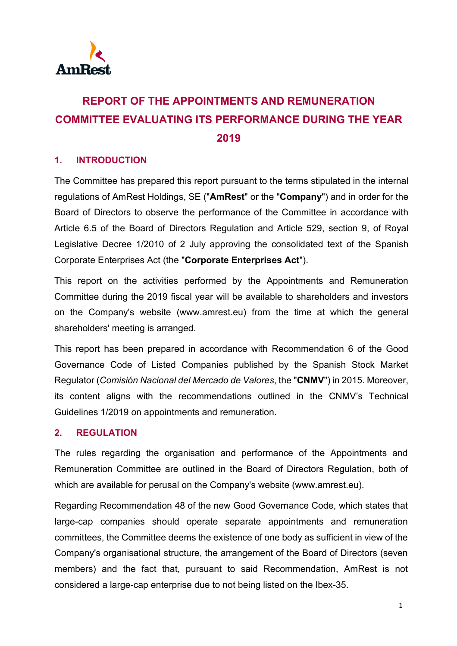

# **REPORT OF THE APPOINTMENTS AND REMUNERATION COMMITTEE EVALUATING ITS PERFORMANCE DURING THE YEAR 2019**

### **1. INTRODUCTION**

The Committee has prepared this report pursuant to the terms stipulated in the internal regulations of AmRest Holdings, SE ("**AmRest**" or the "**Company**") and in order for the Board of Directors to observe the performance of the Committee in accordance with Article 6.5 of the Board of Directors Regulation and Article 529, section 9, of Royal Legislative Decree 1/2010 of 2 July approving the consolidated text of the Spanish Corporate Enterprises Act (the "**Corporate Enterprises Act**").

This report on the activities performed by the Appointments and Remuneration Committee during the 2019 fiscal year will be available to shareholders and investors on the Company's website (www.amrest.eu) from the time at which the general shareholders' meeting is arranged.

This report has been prepared in accordance with Recommendation 6 of the Good Governance Code of Listed Companies published by the Spanish Stock Market Regulator (*Comisión Nacional del Mercado de Valores*, the "**CNMV**") in 2015. Moreover, its content aligns with the recommendations outlined in the CNMV's Technical Guidelines 1/2019 on appointments and remuneration.

### **2. REGULATION**

The rules regarding the organisation and performance of the Appointments and Remuneration Committee are outlined in the Board of Directors Regulation, both of which are available for perusal on the Company's website [\(www.amrest.eu\)](http://www.amrest.eu/).

Regarding Recommendation 48 of the new Good Governance Code, which states that large-cap companies should operate separate appointments and remuneration committees, the Committee deems the existence of one body as sufficient in view of the Company's organisational structure, the arrangement of the Board of Directors (seven members) and the fact that, pursuant to said Recommendation, AmRest is not considered a large-cap enterprise due to not being listed on the Ibex-35.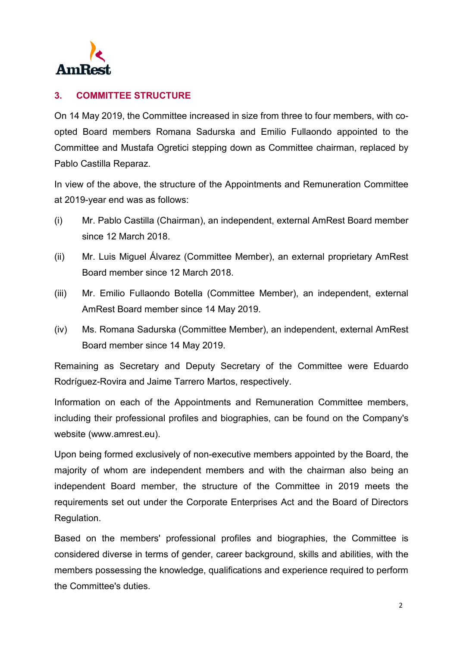

# **3. COMMITTEE STRUCTURE**

On 14 May 2019, the Committee increased in size from three to four members, with coopted Board members Romana Sadurska and Emilio Fullaondo appointed to the Committee and Mustafa Ogretici stepping down as Committee chairman, replaced by Pablo Castilla Reparaz.

In view of the above, the structure of the Appointments and Remuneration Committee at 2019-year end was as follows:

- (i) Mr. Pablo Castilla (Chairman), an independent, external AmRest Board member since 12 March 2018.
- (ii) Mr. Luis Miguel Álvarez (Committee Member), an external proprietary AmRest Board member since 12 March 2018.
- (iii) Mr. Emilio Fullaondo Botella (Committee Member), an independent, external AmRest Board member since 14 May 2019.
- (iv) Ms. Romana Sadurska (Committee Member), an independent, external AmRest Board member since 14 May 2019.

Remaining as Secretary and Deputy Secretary of the Committee were Eduardo Rodríguez-Rovira and Jaime Tarrero Martos, respectively.

Information on each of the Appointments and Remuneration Committee members, including their professional profiles and biographies, can be found on the Company's website (www.amrest.eu).

Upon being formed exclusively of non-executive members appointed by the Board, the majority of whom are independent members and with the chairman also being an independent Board member, the structure of the Committee in 2019 meets the requirements set out under the Corporate Enterprises Act and the Board of Directors Regulation.

Based on the members' professional profiles and biographies, the Committee is considered diverse in terms of gender, career background, skills and abilities, with the members possessing the knowledge, qualifications and experience required to perform the Committee's duties.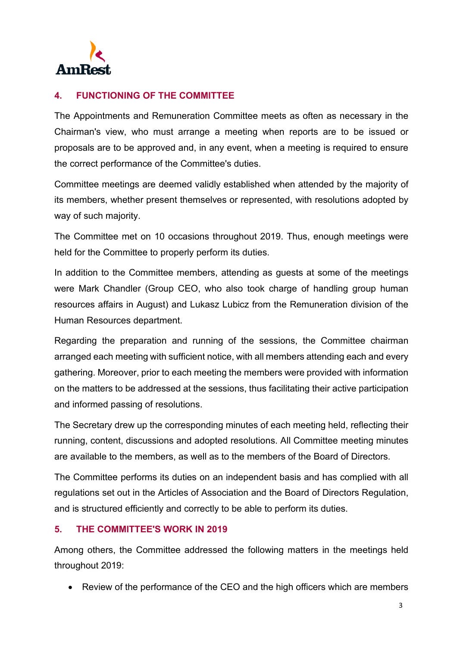

## **4. FUNCTIONING OF THE COMMITTEE**

The Appointments and Remuneration Committee meets as often as necessary in the Chairman's view, who must arrange a meeting when reports are to be issued or proposals are to be approved and, in any event, when a meeting is required to ensure the correct performance of the Committee's duties.

Committee meetings are deemed validly established when attended by the majority of its members, whether present themselves or represented, with resolutions adopted by way of such majority.

The Committee met on 10 occasions throughout 2019. Thus, enough meetings were held for the Committee to properly perform its duties.

In addition to the Committee members, attending as guests at some of the meetings were Mark Chandler (Group CEO, who also took charge of handling group human resources affairs in August) and Lukasz Lubicz from the Remuneration division of the Human Resources department.

Regarding the preparation and running of the sessions, the Committee chairman arranged each meeting with sufficient notice, with all members attending each and every gathering. Moreover, prior to each meeting the members were provided with information on the matters to be addressed at the sessions, thus facilitating their active participation and informed passing of resolutions.

The Secretary drew up the corresponding minutes of each meeting held, reflecting their running, content, discussions and adopted resolutions. All Committee meeting minutes are available to the members, as well as to the members of the Board of Directors.

The Committee performs its duties on an independent basis and has complied with all regulations set out in the Articles of Association and the Board of Directors Regulation, and is structured efficiently and correctly to be able to perform its duties.

### **5. THE COMMITTEE'S WORK IN 2019**

Among others, the Committee addressed the following matters in the meetings held throughout 2019:

• Review of the performance of the CEO and the high officers which are members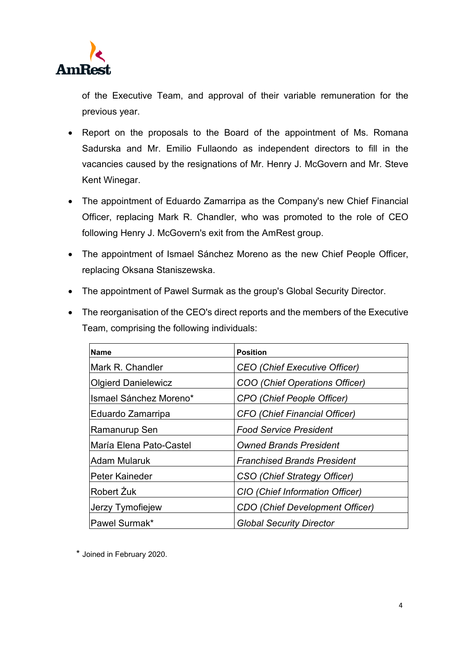

of the Executive Team, and approval of their variable remuneration for the previous year.

- Report on the proposals to the Board of the appointment of Ms. Romana Sadurska and Mr. Emilio Fullaondo as independent directors to fill in the vacancies caused by the resignations of Mr. Henry J. McGovern and Mr. Steve Kent Winegar.
- The appointment of Eduardo Zamarripa as the Company's new Chief Financial Officer, replacing Mark R. Chandler, who was promoted to the role of CEO following Henry J. McGovern's exit from the AmRest group.
- The appointment of Ismael Sánchez Moreno as the new Chief People Officer, replacing Oksana Staniszewska.
- The appointment of Pawel Surmak as the group's Global Security Director.
- The reorganisation of the CEO's direct reports and the members of the Executive Team, comprising the following individuals:

| <b>Name</b>                | <b>Position</b>                        |
|----------------------------|----------------------------------------|
| Mark R. Chandler           | <b>CEO</b> (Chief Executive Officer)   |
| <b>Olgierd Danielewicz</b> | COO (Chief Operations Officer)         |
| Ismael Sánchez Moreno*     | CPO (Chief People Officer)             |
| Eduardo Zamarripa          | <b>CFO (Chief Financial Officer)</b>   |
| Ramanurup Sen              | <b>Food Service President</b>          |
| María Elena Pato-Castel    | <b>Owned Brands President</b>          |
| <b>Adam Mularuk</b>        | <b>Franchised Brands President</b>     |
| Peter Kaineder             | CSO (Chief Strategy Officer)           |
| Robert Zuk                 | CIO (Chief Information Officer)        |
| Jerzy Tymofiejew           | <b>CDO</b> (Chief Development Officer) |
| Pawel Surmak*              | <b>Global Security Director</b>        |

\* Joined in February 2020.